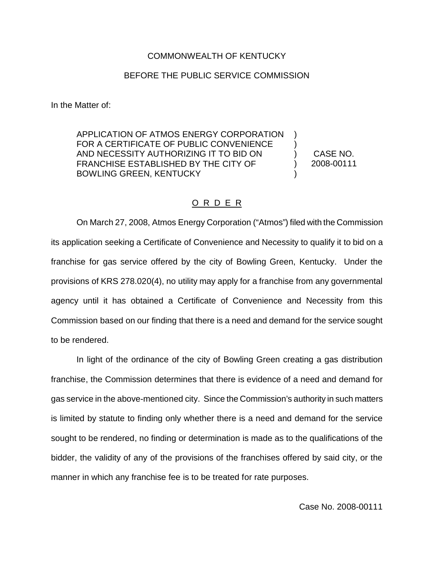## COMMONWEALTH OF KENTUCKY

## BEFORE THE PUBLIC SERVICE COMMISSION

In the Matter of:

APPLICATION OF ATMOS ENERGY CORPORATION FOR A CERTIFICATE OF PUBLIC CONVENIENCE AND NECESSITY AUTHORIZING IT TO BID ON FRANCHISE ESTABLISHED BY THE CITY OF BOWLING GREEN, KENTUCKY

) CASE NO. ) 2008-00111

) )

)

## O R D E R

On March 27, 2008, Atmos Energy Corporation ("Atmos") filed with the Commission its application seeking a Certificate of Convenience and Necessity to qualify it to bid on a franchise for gas service offered by the city of Bowling Green, Kentucky. Under the provisions of KRS 278.020(4), no utility may apply for a franchise from any governmental agency until it has obtained a Certificate of Convenience and Necessity from this Commission based on our finding that there is a need and demand for the service sought to be rendered.

In light of the ordinance of the city of Bowling Green creating a gas distribution franchise, the Commission determines that there is evidence of a need and demand for gas service in the above-mentioned city. Since the Commission's authority in such matters is limited by statute to finding only whether there is a need and demand for the service sought to be rendered, no finding or determination is made as to the qualifications of the bidder, the validity of any of the provisions of the franchises offered by said city, or the manner in which any franchise fee is to be treated for rate purposes.